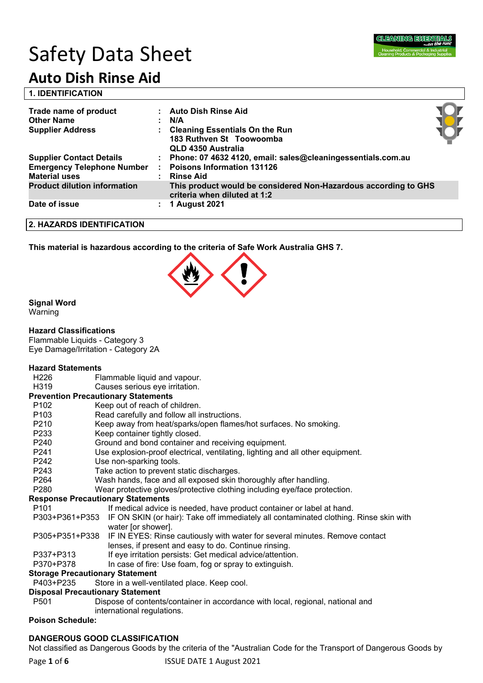

# Safety Data Sheet

## **Auto Dish Rinse Aid**

|  | <b>1. IDENTIFICATION</b> |  |
|--|--------------------------|--|
|  |                          |  |

| Trade name of product<br><b>Other Name</b><br><b>Supplier Address</b> | <b>Auto Dish Rinse Aid</b><br>N/A<br><b>Cleaning Essentials On the Run</b><br>183 Ruthven St Toowoomba<br>QLD 4350 Australia |  |
|-----------------------------------------------------------------------|------------------------------------------------------------------------------------------------------------------------------|--|
| <b>Supplier Contact Details</b>                                       | : Phone: 07 4632 4120, email: sales@cleaningessentials.com.au                                                                |  |
| <b>Emergency Telephone Number</b><br><b>Material uses</b>             | <b>Poisons Information 131126</b><br><b>Rinse Aid</b>                                                                        |  |
| <b>Product dilution information</b>                                   | This product would be considered Non-Hazardous according to GHS<br>criteria when diluted at 1:2                              |  |
| Date of issue                                                         | <b>1 August 2021</b>                                                                                                         |  |

#### **2. HAZARDS IDENTIFICATION**

**This material is hazardous according to the criteria of Safe Work Australia GHS 7.**



#### **Signal Word**

Warning

#### **Hazard Classifications**

Flammable Liquids - Category 3 Eye Damage/Irritation - Category 2A

#### **Hazard Statements**

| H <sub>226</sub> | Flammable liquid and vapour. |  |
|------------------|------------------------------|--|
|------------------|------------------------------|--|

H319 Causes serious eye irritation.

#### **Prevention Precautionary Statements**

| P <sub>102</sub>                         | Keep out of reach of children.                                                                                                      |  |  |  |  |
|------------------------------------------|-------------------------------------------------------------------------------------------------------------------------------------|--|--|--|--|
| P <sub>103</sub>                         | Read carefully and follow all instructions.                                                                                         |  |  |  |  |
| P210                                     | Keep away from heat/sparks/open flames/hot surfaces. No smoking.                                                                    |  |  |  |  |
| P <sub>233</sub>                         | Keep container tightly closed.                                                                                                      |  |  |  |  |
| P240                                     | Ground and bond container and receiving equipment.                                                                                  |  |  |  |  |
| P <sub>241</sub>                         | Use explosion-proof electrical, ventilating, lighting and all other equipment.                                                      |  |  |  |  |
| P <sub>242</sub>                         | Use non-sparking tools.                                                                                                             |  |  |  |  |
| P243                                     | Take action to prevent static discharges.                                                                                           |  |  |  |  |
| P <sub>264</sub>                         | Wash hands, face and all exposed skin thoroughly after handling.                                                                    |  |  |  |  |
| P <sub>280</sub>                         | Wear protective gloves/protective clothing including eye/face protection.                                                           |  |  |  |  |
| <b>Response Precautionary Statements</b> |                                                                                                                                     |  |  |  |  |
| P <sub>101</sub>                         | If medical advice is needed, have product container or label at hand.                                                               |  |  |  |  |
|                                          | P303+P361+P353 IF ON SKIN (or hair): Take off immediately all contaminated clothing. Rinse skin with<br>water [or shower].          |  |  |  |  |
| P305+P351+P338                           | IF IN EYES: Rinse cautiously with water for several minutes. Remove contact<br>lenses, if present and easy to do. Continue rinsing. |  |  |  |  |
| P337+P313                                | If eye irritation persists: Get medical advice/attention.                                                                           |  |  |  |  |
| P370+P378                                | In case of fire: Use foam, fog or spray to extinguish.                                                                              |  |  |  |  |
|                                          | Storage Precautionary Statement                                                                                                     |  |  |  |  |

#### P403+P235 Store in a well-ventilated place. Keep cool.

### **Disposal Precautionary Statement**

P501 Dispose of contents/container in accordance with local, regional, national and international regulations.

#### **Poison Schedule:**

#### **DANGEROUS GOOD CLASSIFICATION**

Not classified as Dangerous Goods by the criteria of the "Australian Code for the Transport of Dangerous Goods by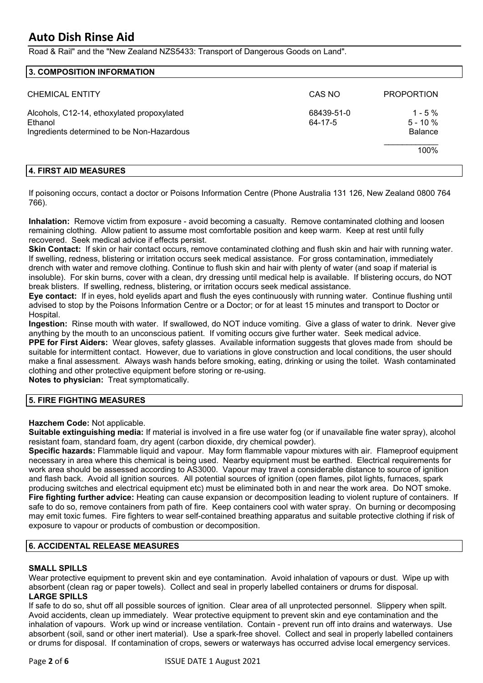Road & Rail" and the "New Zealand NZS5433: Transport of Dangerous Goods on Land".

| 3. COMPOSITION INFORMATION                                                                          |                       |                                          |
|-----------------------------------------------------------------------------------------------------|-----------------------|------------------------------------------|
| <b>CHEMICAL ENTITY</b>                                                                              | CAS NO                | <b>PROPORTION</b>                        |
| Alcohols, C12-14, ethoxylated propoxylated<br>Ethanol<br>Ingredients determined to be Non-Hazardous | 68439-51-0<br>64-17-5 | $1 - 5\%$<br>$5 - 10%$<br><b>Balance</b> |
|                                                                                                     |                       | 100%                                     |

#### **4. FIRST AID MEASURES**

If poisoning occurs, contact a doctor or Poisons Information Centre (Phone Australia 131 126, New Zealand 0800 764 766).

**Inhalation:** Remove victim from exposure - avoid becoming a casualty. Remove contaminated clothing and loosen remaining clothing. Allow patient to assume most comfortable position and keep warm. Keep at rest until fully recovered. Seek medical advice if effects persist.

**Skin Contact:** If skin or hair contact occurs, remove contaminated clothing and flush skin and hair with running water. If swelling, redness, blistering or irritation occurs seek medical assistance. For gross contamination, immediately drench with water and remove clothing. Continue to flush skin and hair with plenty of water (and soap if material is insoluble). For skin burns, cover with a clean, dry dressing until medical help is available. If blistering occurs, do NOT break blisters. If swelling, redness, blistering, or irritation occurs seek medical assistance.

**Eye contact:** If in eyes, hold eyelids apart and flush the eyes continuously with running water. Continue flushing until advised to stop by the Poisons Information Centre or a Doctor; or for at least 15 minutes and transport to Doctor or Hospital.

**Ingestion:** Rinse mouth with water. If swallowed, do NOT induce vomiting. Give a glass of water to drink. Never give anything by the mouth to an unconscious patient. If vomiting occurs give further water. Seek medical advice.

**PPE for First Aiders:** Wear gloves, safety glasses. Available information suggests that gloves made from should be suitable for intermittent contact. However, due to variations in glove construction and local conditions, the user should make a final assessment. Always wash hands before smoking, eating, drinking or using the toilet. Wash contaminated clothing and other protective equipment before storing or re-using.

**Notes to physician:** Treat symptomatically.

#### **5. FIRE FIGHTING MEASURES**

**Hazchem Code:** Not applicable.

**Suitable extinguishing media:** If material is involved in a fire use water fog (or if unavailable fine water spray), alcohol resistant foam, standard foam, dry agent (carbon dioxide, dry chemical powder).

**Specific hazards:** Flammable liquid and vapour. May form flammable vapour mixtures with air. Flameproof equipment necessary in area where this chemical is being used. Nearby equipment must be earthed. Electrical requirements for work area should be assessed according to AS3000. Vapour may travel a considerable distance to source of ignition and flash back. Avoid all ignition sources. All potential sources of ignition (open flames, pilot lights, furnaces, spark producing switches and electrical equipment etc) must be eliminated both in and near the work area. Do NOT smoke. **Fire fighting further advice:** Heating can cause expansion or decomposition leading to violent rupture of containers. If safe to do so, remove containers from path of fire. Keep containers cool with water spray. On burning or decomposing may emit toxic fumes. Fire fighters to wear self-contained breathing apparatus and suitable protective clothing if risk of exposure to vapour or products of combustion or decomposition.

#### **6. ACCIDENTAL RELEASE MEASURES**

#### **SMALL SPILLS**

Wear protective equipment to prevent skin and eye contamination. Avoid inhalation of vapours or dust. Wipe up with absorbent (clean rag or paper towels). Collect and seal in properly labelled containers or drums for disposal. **LARGE SPILLS**

If safe to do so, shut off all possible sources of ignition. Clear area of all unprotected personnel. Slippery when spilt. Avoid accidents, clean up immediately. Wear protective equipment to prevent skin and eye contamination and the inhalation of vapours. Work up wind or increase ventilation. Contain - prevent run off into drains and waterways. Use absorbent (soil, sand or other inert material). Use a spark-free shovel. Collect and seal in properly labelled containers or drums for disposal. If contamination of crops, sewers or waterways has occurred advise local emergency services.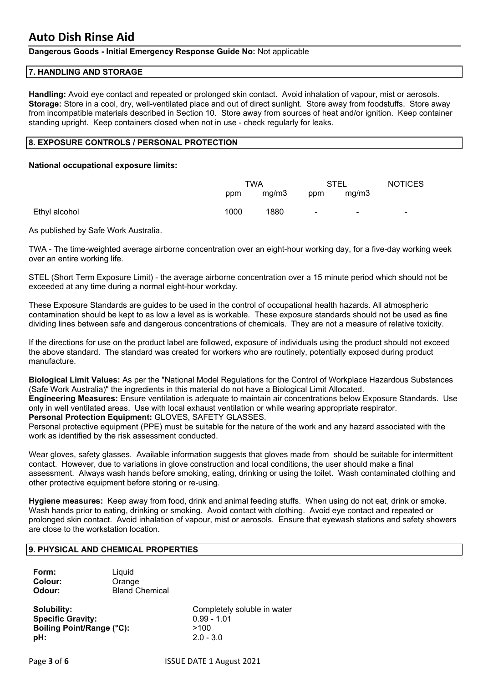#### **Dangerous Goods - Initial Emergency Response Guide No:** Not applicable

#### **7. HANDLING AND STORAGE**

**Handling:** Avoid eye contact and repeated or prolonged skin contact. Avoid inhalation of vapour, mist or aerosols. **Storage:** Store in a cool, dry, well-ventilated place and out of direct sunlight. Store away from foodstuffs. Store away from incompatible materials described in Section 10. Store away from sources of heat and/or ignition. Keep container standing upright. Keep containers closed when not in use - check regularly for leaks.

#### **8. EXPOSURE CONTROLS / PERSONAL PROTECTION**

#### **National occupational exposure limits:**

|               | TWA  |       | <b>STEL</b>    |                | <b>NOTICES</b> |
|---------------|------|-------|----------------|----------------|----------------|
|               | ppm  | mg/m3 | ppm            | mg/m3          |                |
| Ethyl alcohol | 1000 | 1880  | $\blacksquare$ | $\blacksquare$ | $\blacksquare$ |

As published by Safe Work Australia.

TWA - The time-weighted average airborne concentration over an eight-hour working day, for a five-day working week over an entire working life.

STEL (Short Term Exposure Limit) - the average airborne concentration over a 15 minute period which should not be exceeded at any time during a normal eight-hour workday.

These Exposure Standards are guides to be used in the control of occupational health hazards. All atmospheric contamination should be kept to as low a level as is workable. These exposure standards should not be used as fine dividing lines between safe and dangerous concentrations of chemicals. They are not a measure of relative toxicity.

If the directions for use on the product label are followed, exposure of individuals using the product should not exceed the above standard. The standard was created for workers who are routinely, potentially exposed during product manufacture.

**Biological Limit Values:** As per the "National Model Regulations for the Control of Workplace Hazardous Substances (Safe Work Australia)" the ingredients in this material do not have a Biological Limit Allocated. **Engineering Measures:** Ensure ventilation is adequate to maintain air concentrations below Exposure Standards. Use only in well ventilated areas. Use with local exhaust ventilation or while wearing appropriate respirator.

**Personal Protection Equipment:** GLOVES, SAFETY GLASSES.

Personal protective equipment (PPE) must be suitable for the nature of the work and any hazard associated with the work as identified by the risk assessment conducted.

Wear gloves, safety glasses. Available information suggests that gloves made from should be suitable for intermittent contact. However, due to variations in glove construction and local conditions, the user should make a final assessment. Always wash hands before smoking, eating, drinking or using the toilet. Wash contaminated clothing and other protective equipment before storing or re-using.

**Hygiene measures:** Keep away from food, drink and animal feeding stuffs. When using do not eat, drink or smoke. Wash hands prior to eating, drinking or smoking. Avoid contact with clothing. Avoid eye contact and repeated or prolonged skin contact. Avoid inhalation of vapour, mist or aerosols. Ensure that eyewash stations and safety showers are close to the workstation location.

#### **9. PHYSICAL AND CHEMICAL PROPERTIES**

| Form:   | Liquid                |
|---------|-----------------------|
| Colour: | Orange                |
| Odour:  | <b>Bland Chemical</b> |

**Specific Gravity:** 0.99 - 1.01 **Boiling Point/Range (°C):** >100 **pH:** 2.0 - 3.0

**Solubility:** Completely soluble in water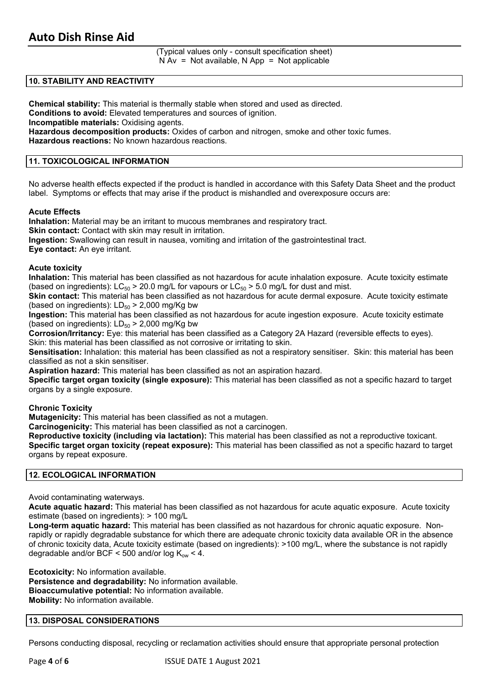(Typical values only - consult specification sheet)  $N Av = Not available, N App = Not applicable$ 

#### **10. STABILITY AND REACTIVITY**

**Chemical stability:** This material is thermally stable when stored and used as directed.

**Conditions to avoid:** Elevated temperatures and sources of ignition.

**Incompatible materials:** Oxidising agents.

**Hazardous decomposition products:** Oxides of carbon and nitrogen, smoke and other toxic fumes.

**Hazardous reactions:** No known hazardous reactions.

#### **11. TOXICOLOGICAL INFORMATION**

No adverse health effects expected if the product is handled in accordance with this Safety Data Sheet and the product label. Symptoms or effects that may arise if the product is mishandled and overexposure occurs are:

#### **Acute Effects**

**Inhalation:** Material may be an irritant to mucous membranes and respiratory tract.

**Skin contact:** Contact with skin may result in irritation.

**Ingestion:** Swallowing can result in nausea, vomiting and irritation of the gastrointestinal tract.

**Eye contact:** An eye irritant.

#### **Acute toxicity**

**Inhalation:** This material has been classified as not hazardous for acute inhalation exposure. Acute toxicity estimate (based on ingredients):  $LC_{50}$  > 20.0 mg/L for vapours or  $LC_{50}$  > 5.0 mg/L for dust and mist.

**Skin contact:** This material has been classified as not hazardous for acute dermal exposure. Acute toxicity estimate (based on ingredients):  $LD_{50}$  > 2,000 mg/Kg bw

**Ingestion:** This material has been classified as not hazardous for acute ingestion exposure. Acute toxicity estimate (based on ingredients):  $LD_{50}$  > 2,000 mg/Kg bw

**Corrosion/Irritancy:** Eye: this material has been classified as a Category 2A Hazard (reversible effects to eyes). Skin: this material has been classified as not corrosive or irritating to skin.

**Sensitisation:** Inhalation: this material has been classified as not a respiratory sensitiser. Skin: this material has been classified as not a skin sensitiser.

**Aspiration hazard:** This material has been classified as not an aspiration hazard.

**Specific target organ toxicity (single exposure):** This material has been classified as not a specific hazard to target organs by a single exposure.

#### **Chronic Toxicity**

**Mutagenicity:** This material has been classified as not a mutagen.

**Carcinogenicity:** This material has been classified as not a carcinogen.

**Reproductive toxicity (including via lactation):** This material has been classified as not a reproductive toxicant. **Specific target organ toxicity (repeat exposure):** This material has been classified as not a specific hazard to target organs by repeat exposure.

#### **12. ECOLOGICAL INFORMATION**

Avoid contaminating waterways.

**Acute aquatic hazard:** This material has been classified as not hazardous for acute aquatic exposure. Acute toxicity estimate (based on ingredients): > 100 mg/L

**Long-term aquatic hazard:** This material has been classified as not hazardous for chronic aquatic exposure. Nonrapidly or rapidly degradable substance for which there are adequate chronic toxicity data available OR in the absence of chronic toxicity data, Acute toxicity estimate (based on ingredients): >100 mg/L, where the substance is not rapidly degradable and/or BCF < 500 and/or log  $K_{ow}$  < 4.

**Ecotoxicity:** No information available. **Persistence and degradability:** No information available. **Bioaccumulative potential:** No information available. **Mobility:** No information available.

#### **13. DISPOSAL CONSIDERATIONS**

Persons conducting disposal, recycling or reclamation activities should ensure that appropriate personal protection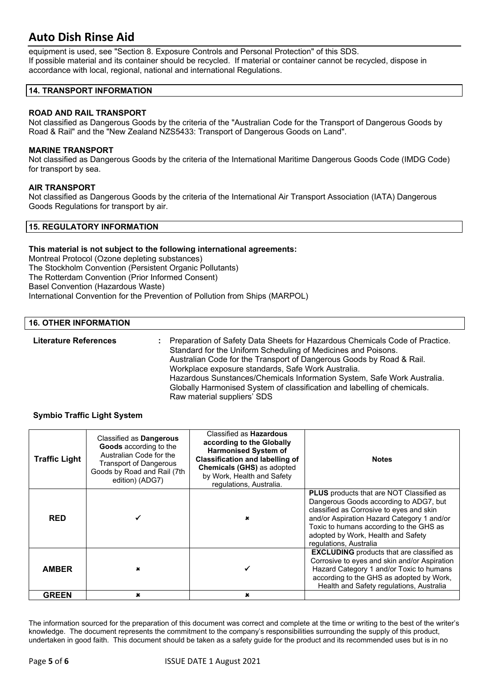equipment is used, see "Section 8. Exposure Controls and Personal Protection" of this SDS. If possible material and its container should be recycled. If material or container cannot be recycled, dispose in accordance with local, regional, national and international Regulations.

#### **14. TRANSPORT INFORMATION**

#### **ROAD AND RAIL TRANSPORT**

Not classified as Dangerous Goods by the criteria of the "Australian Code for the Transport of Dangerous Goods by Road & Rail" and the "New Zealand NZS5433: Transport of Dangerous Goods on Land".

#### **MARINE TRANSPORT**

Not classified as Dangerous Goods by the criteria of the International Maritime Dangerous Goods Code (IMDG Code) for transport by sea.

#### **AIR TRANSPORT**

Not classified as Dangerous Goods by the criteria of the International Air Transport Association (IATA) Dangerous Goods Regulations for transport by air.

#### **15. REGULATORY INFORMATION**

#### **This material is not subject to the following international agreements:**

Montreal Protocol (Ozone depleting substances) The Stockholm Convention (Persistent Organic Pollutants) The Rotterdam Convention (Prior Informed Consent) Basel Convention (Hazardous Waste) International Convention for the Prevention of Pollution from Ships (MARPOL)

#### **16. OTHER INFORMATION**

**Literature References :** Preparation of Safety Data Sheets for Hazardous Chemicals Code of Practice. Standard for the Uniform Scheduling of Medicines and Poisons. Australian Code for the Transport of Dangerous Goods by Road & Rail. Workplace exposure standards, Safe Work Australia. Hazardous Sunstances/Chemicals Information System, Safe Work Australia. Globally Harmonised System of classification and labelling of chemicals. Raw material suppliers' SDS

#### **Symbio Traffic Light System**

| <b>Traffic Light</b> | Classified as <b>Dangerous</b><br>Goods according to the<br>Australian Code for the<br><b>Transport of Dangerous</b><br>Goods by Road and Rail (7th<br>edition) (ADG7) | Classified as <b>Hazardous</b><br>according to the Globally<br><b>Harmonised System of</b><br><b>Classification and labelling of</b><br>Chemicals (GHS) as adopted<br>by Work, Health and Safety<br>regulations, Australia. | <b>Notes</b>                                                                                                                                                                                                                                                                                   |
|----------------------|------------------------------------------------------------------------------------------------------------------------------------------------------------------------|-----------------------------------------------------------------------------------------------------------------------------------------------------------------------------------------------------------------------------|------------------------------------------------------------------------------------------------------------------------------------------------------------------------------------------------------------------------------------------------------------------------------------------------|
| <b>RED</b>           |                                                                                                                                                                        |                                                                                                                                                                                                                             | <b>PLUS</b> products that are NOT Classified as<br>Dangerous Goods according to ADG7, but<br>classified as Corrosive to eyes and skin<br>and/or Aspiration Hazard Category 1 and/or<br>Toxic to humans according to the GHS as<br>adopted by Work, Health and Safety<br>regulations, Australia |
| <b>AMBER</b>         | $\pmb{\times}$                                                                                                                                                         |                                                                                                                                                                                                                             | <b>EXCLUDING</b> products that are classified as<br>Corrosive to eyes and skin and/or Aspiration<br>Hazard Category 1 and/or Toxic to humans<br>according to the GHS as adopted by Work,<br>Health and Safety regulations, Australia                                                           |
| <b>GREEN</b>         | $\mathbf x$                                                                                                                                                            | ×                                                                                                                                                                                                                           |                                                                                                                                                                                                                                                                                                |

The information sourced for the preparation of this document was correct and complete at the time or writing to the best of the writer's knowledge. The document represents the commitment to the company's responsibilities surrounding the supply of this product, undertaken in good faith. This document should be taken as a safety guide for the product and its recommended uses but is in no